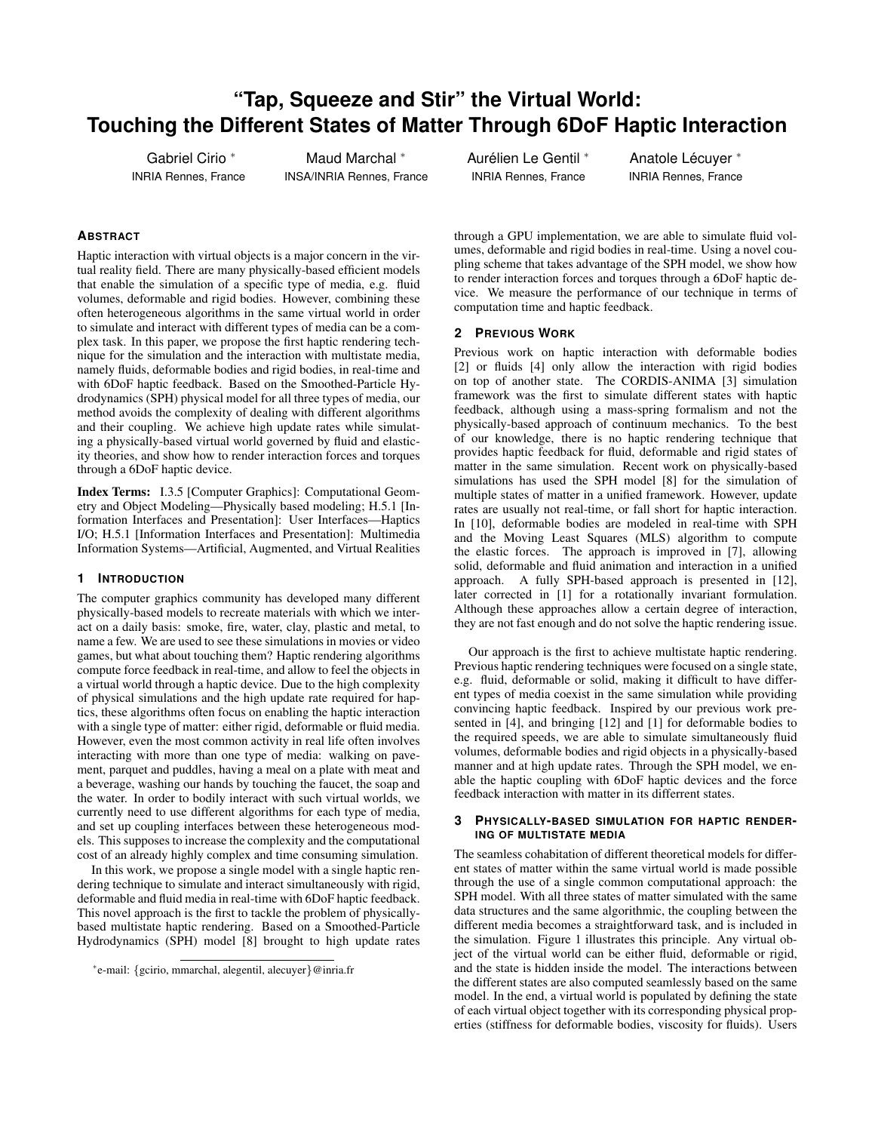# **"Tap, Squeeze and Stir" the Virtual World: Touching the Different States of Matter Through 6DoF Haptic Interaction**

Gabriel Cirio <sup>∗</sup> INRIA Rennes, France

Maud Marchal <sup>∗</sup> INSA/INRIA Rennes, France Aurélien Le Gentil \* INRIA Rennes, France

Anatole Lécuyer \* INRIA Rennes, France

## **ABSTRACT**

Haptic interaction with virtual objects is a major concern in the virtual reality field. There are many physically-based efficient models that enable the simulation of a specific type of media, e.g. fluid volumes, deformable and rigid bodies. However, combining these often heterogeneous algorithms in the same virtual world in order to simulate and interact with different types of media can be a complex task. In this paper, we propose the first haptic rendering technique for the simulation and the interaction with multistate media, namely fluids, deformable bodies and rigid bodies, in real-time and with 6DoF haptic feedback. Based on the Smoothed-Particle Hydrodynamics (SPH) physical model for all three types of media, our method avoids the complexity of dealing with different algorithms and their coupling. We achieve high update rates while simulating a physically-based virtual world governed by fluid and elasticity theories, and show how to render interaction forces and torques through a 6DoF haptic device.

Index Terms: I.3.5 [Computer Graphics]: Computational Geometry and Object Modeling—Physically based modeling; H.5.1 [Information Interfaces and Presentation]: User Interfaces—Haptics I/O; H.5.1 [Information Interfaces and Presentation]: Multimedia Information Systems—Artificial, Augmented, and Virtual Realities

## **1 INTRODUCTION**

The computer graphics community has developed many different physically-based models to recreate materials with which we interact on a daily basis: smoke, fire, water, clay, plastic and metal, to name a few. We are used to see these simulations in movies or video games, but what about touching them? Haptic rendering algorithms compute force feedback in real-time, and allow to feel the objects in a virtual world through a haptic device. Due to the high complexity of physical simulations and the high update rate required for haptics, these algorithms often focus on enabling the haptic interaction with a single type of matter: either rigid, deformable or fluid media. However, even the most common activity in real life often involves interacting with more than one type of media: walking on pavement, parquet and puddles, having a meal on a plate with meat and a beverage, washing our hands by touching the faucet, the soap and the water. In order to bodily interact with such virtual worlds, we currently need to use different algorithms for each type of media, and set up coupling interfaces between these heterogeneous models. This supposes to increase the complexity and the computational cost of an already highly complex and time consuming simulation.

In this work, we propose a single model with a single haptic rendering technique to simulate and interact simultaneously with rigid, deformable and fluid media in real-time with 6DoF haptic feedback. This novel approach is the first to tackle the problem of physicallybased multistate haptic rendering. Based on a Smoothed-Particle Hydrodynamics (SPH) model [8] brought to high update rates through a GPU implementation, we are able to simulate fluid volumes, deformable and rigid bodies in real-time. Using a novel coupling scheme that takes advantage of the SPH model, we show how to render interaction forces and torques through a 6DoF haptic device. We measure the performance of our technique in terms of computation time and haptic feedback.

## **2 PREVIOUS WORK**

Previous work on haptic interaction with deformable bodies [2] or fluids [4] only allow the interaction with rigid bodies on top of another state. The CORDIS-ANIMA [3] simulation framework was the first to simulate different states with haptic feedback, although using a mass-spring formalism and not the physically-based approach of continuum mechanics. To the best of our knowledge, there is no haptic rendering technique that provides haptic feedback for fluid, deformable and rigid states of matter in the same simulation. Recent work on physically-based simulations has used the SPH model [8] for the simulation of multiple states of matter in a unified framework. However, update rates are usually not real-time, or fall short for haptic interaction. In [10], deformable bodies are modeled in real-time with SPH and the Moving Least Squares (MLS) algorithm to compute the elastic forces. The approach is improved in [7], allowing solid, deformable and fluid animation and interaction in a unified approach. A fully SPH-based approach is presented in [12], later corrected in [1] for a rotationally invariant formulation. Although these approaches allow a certain degree of interaction, they are not fast enough and do not solve the haptic rendering issue.

Our approach is the first to achieve multistate haptic rendering. Previous haptic rendering techniques were focused on a single state, e.g. fluid, deformable or solid, making it difficult to have different types of media coexist in the same simulation while providing convincing haptic feedback. Inspired by our previous work presented in [4], and bringing [12] and [1] for deformable bodies to the required speeds, we are able to simulate simultaneously fluid volumes, deformable bodies and rigid objects in a physically-based manner and at high update rates. Through the SPH model, we enable the haptic coupling with 6DoF haptic devices and the force feedback interaction with matter in its differrent states.

## **3 PHYSICALLY-BASED SIMULATION FOR HAPTIC RENDER-ING OF MULTISTATE MEDIA**

The seamless cohabitation of different theoretical models for different states of matter within the same virtual world is made possible through the use of a single common computational approach: the SPH model. With all three states of matter simulated with the same data structures and the same algorithmic, the coupling between the different media becomes a straightforward task, and is included in the simulation. Figure 1 illustrates this principle. Any virtual object of the virtual world can be either fluid, deformable or rigid, and the state is hidden inside the model. The interactions between the different states are also computed seamlessly based on the same model. In the end, a virtual world is populated by defining the state of each virtual object together with its corresponding physical properties (stiffness for deformable bodies, viscosity for fluids). Users

<sup>∗</sup> e-mail: {gcirio, mmarchal, alegentil, alecuyer}@inria.fr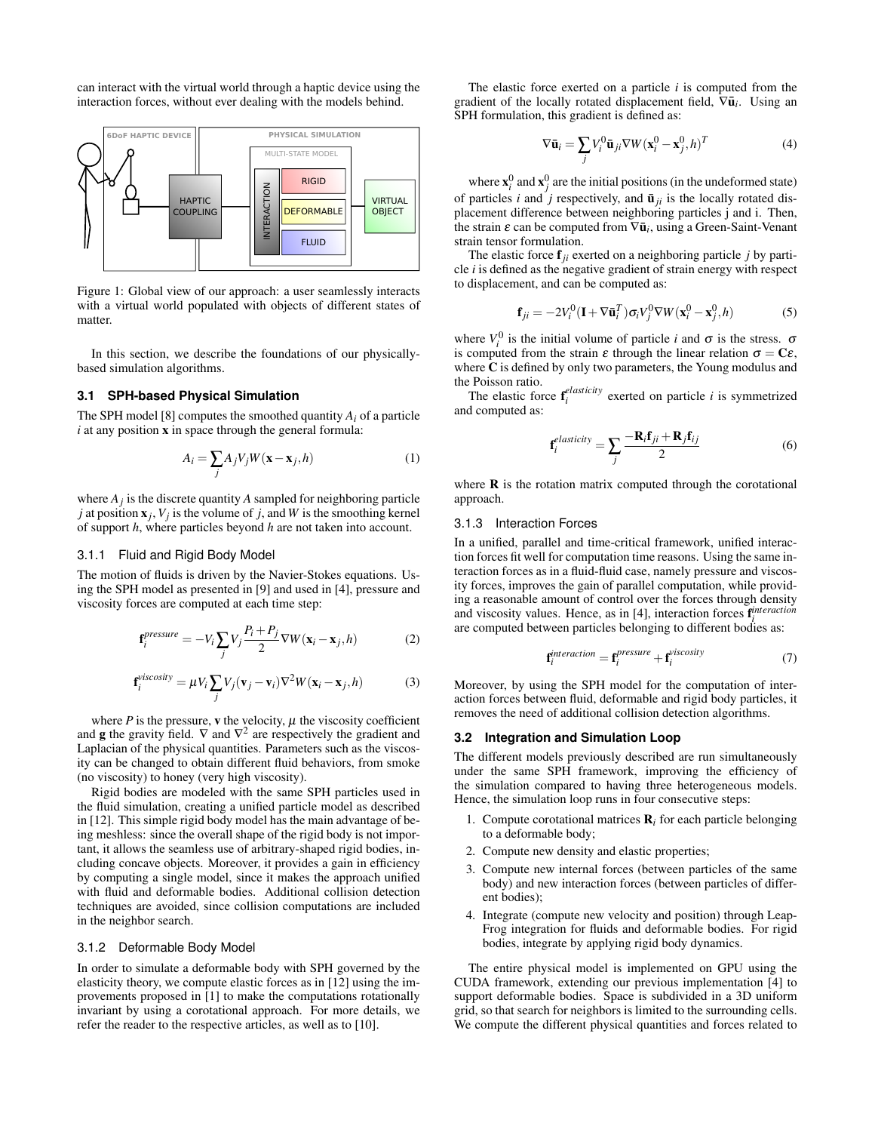can interact with the virtual world through a haptic device using the interaction forces, without ever dealing with the models behind.



Figure 1: Global view of our approach: a user seamlessly interacts with a virtual world populated with objects of different states of matter.

In this section, we describe the foundations of our physicallybased simulation algorithms.

#### **3.1 SPH-based Physical Simulation**

The SPH model [8] computes the smoothed quantity  $A_i$  of a particle *i* at any position x in space through the general formula:

$$
A_i = \sum_j A_j V_j W(\mathbf{x} - \mathbf{x}_j, h)
$$
 (1)

where  $A_j$  is the discrete quantity  $A$  sampled for neighboring particle *j* at position  $\mathbf{x}_j$ ,  $V_j$  is the volume of *j*, and *W* is the smoothing kernel of support *h*, where particles beyond *h* are not taken into account.

#### 3.1.1 Fluid and Rigid Body Model

The motion of fluids is driven by the Navier-Stokes equations. Using the SPH model as presented in [9] and used in [4], pressure and viscosity forces are computed at each time step:

$$
\mathbf{f}_{i}^{pressure} = -V_{i} \sum_{j} V_{j} \frac{P_{i} + P_{j}}{2} \nabla W(\mathbf{x}_{i} - \mathbf{x}_{j}, h)
$$
 (2)

$$
\mathbf{f}_{i}^{viscosity} = \mu V_{i} \sum_{j} V_{j} (\mathbf{v}_{j} - \mathbf{v}_{i}) \nabla^{2} W(\mathbf{x}_{i} - \mathbf{x}_{j}, h)
$$
(3)

where  $P$  is the pressure, **v** the velocity,  $\mu$  the viscosity coefficient and **g** the gravity field.  $\nabla$  and  $\nabla^2$  are respectively the gradient and Laplacian of the physical quantities. Parameters such as the viscosity can be changed to obtain different fluid behaviors, from smoke (no viscosity) to honey (very high viscosity).

Rigid bodies are modeled with the same SPH particles used in the fluid simulation, creating a unified particle model as described in [12]. This simple rigid body model has the main advantage of being meshless: since the overall shape of the rigid body is not important, it allows the seamless use of arbitrary-shaped rigid bodies, including concave objects. Moreover, it provides a gain in efficiency by computing a single model, since it makes the approach unified with fluid and deformable bodies. Additional collision detection techniques are avoided, since collision computations are included in the neighbor search.

## 3.1.2 Deformable Body Model

In order to simulate a deformable body with SPH governed by the elasticity theory, we compute elastic forces as in [12] using the improvements proposed in [1] to make the computations rotationally invariant by using a corotational approach. For more details, we refer the reader to the respective articles, as well as to [10].

The elastic force exerted on a particle *i* is computed from the gradient of the locally rotated displacement field,  $\nabla \bar{u}_i$ . Using an SPH formulation, this gradient is defined as:

$$
\nabla \bar{\mathbf{u}}_i = \sum_j V_i^0 \bar{\mathbf{u}}_{ji} \nabla W (\mathbf{x}_i^0 - \mathbf{x}_j^0, h)^T
$$
(4)

where  $\mathbf{x}_i^0$  and  $\mathbf{x}_j^0$  are the initial positions (in the undeformed state) of particles *i* and  $j$  respectively, and  $\bar{u}_{ji}$  is the locally rotated displacement difference between neighboring particles j and i. Then, the strain  $\varepsilon$  can be computed from  $\nabla \bar{\mathbf{u}}_i$ , using a Green-Saint-Venant strain tensor formulation.

The elastic force  $f_{ii}$  exerted on a neighboring particle *j* by particle *i* is defined as the negative gradient of strain energy with respect to displacement, and can be computed as:

$$
\mathbf{f}_{ji} = -2V_i^0(\mathbf{I} + \nabla \bar{\mathbf{u}}_i^T)\sigma_i V_j^0 \nabla W(\mathbf{x}_i^0 - \mathbf{x}_j^0, h) \tag{5}
$$

where  $V_i^0$  is the initial volume of particle *i* and  $\sigma$  is the stress.  $\sigma$ is computed from the strain  $\varepsilon$  through the linear relation  $\sigma = C\varepsilon$ , where C is defined by only two parameters, the Young modulus and the Poisson ratio.

The elastic force  $\mathbf{f}^{elasticity}_i$  exerted on particle *i* is symmetrized and computed as:

$$
\mathbf{f}_{i}^{elasticity} = \sum_{j} \frac{-\mathbf{R}_{i}\mathbf{f}_{ji} + \mathbf{R}_{j}\mathbf{f}_{ij}}{2}
$$
 (6)

where  **is the rotation matrix computed through the corotational** approach.

#### 3.1.3 Interaction Forces

In a unified, parallel and time-critical framework, unified interaction forces fit well for computation time reasons. Using the same interaction forces as in a fluid-fluid case, namely pressure and viscosity forces, improves the gain of parallel computation, while providing a reasonable amount of control over the forces through density and viscosity values. Hence, as in [4], interaction forces f *interaction i* are computed between particles belonging to different bodies as:

$$
\mathbf{f}_{i}^{interaction} = \mathbf{f}_{i}^{pressure} + \mathbf{f}_{i}^{viscosity}
$$
 (7)

Moreover, by using the SPH model for the computation of interaction forces between fluid, deformable and rigid body particles, it removes the need of additional collision detection algorithms.

## **3.2 Integration and Simulation Loop**

The different models previously described are run simultaneously under the same SPH framework, improving the efficiency of the simulation compared to having three heterogeneous models. Hence, the simulation loop runs in four consecutive steps:

- 1. Compute corotational matrices  $\mathbf{R}_i$  for each particle belonging to a deformable body;
- 2. Compute new density and elastic properties;
- 3. Compute new internal forces (between particles of the same body) and new interaction forces (between particles of different bodies);
- 4. Integrate (compute new velocity and position) through Leap-Frog integration for fluids and deformable bodies. For rigid bodies, integrate by applying rigid body dynamics.

The entire physical model is implemented on GPU using the CUDA framework, extending our previous implementation [4] to support deformable bodies. Space is subdivided in a 3D uniform grid, so that search for neighbors is limited to the surrounding cells. We compute the different physical quantities and forces related to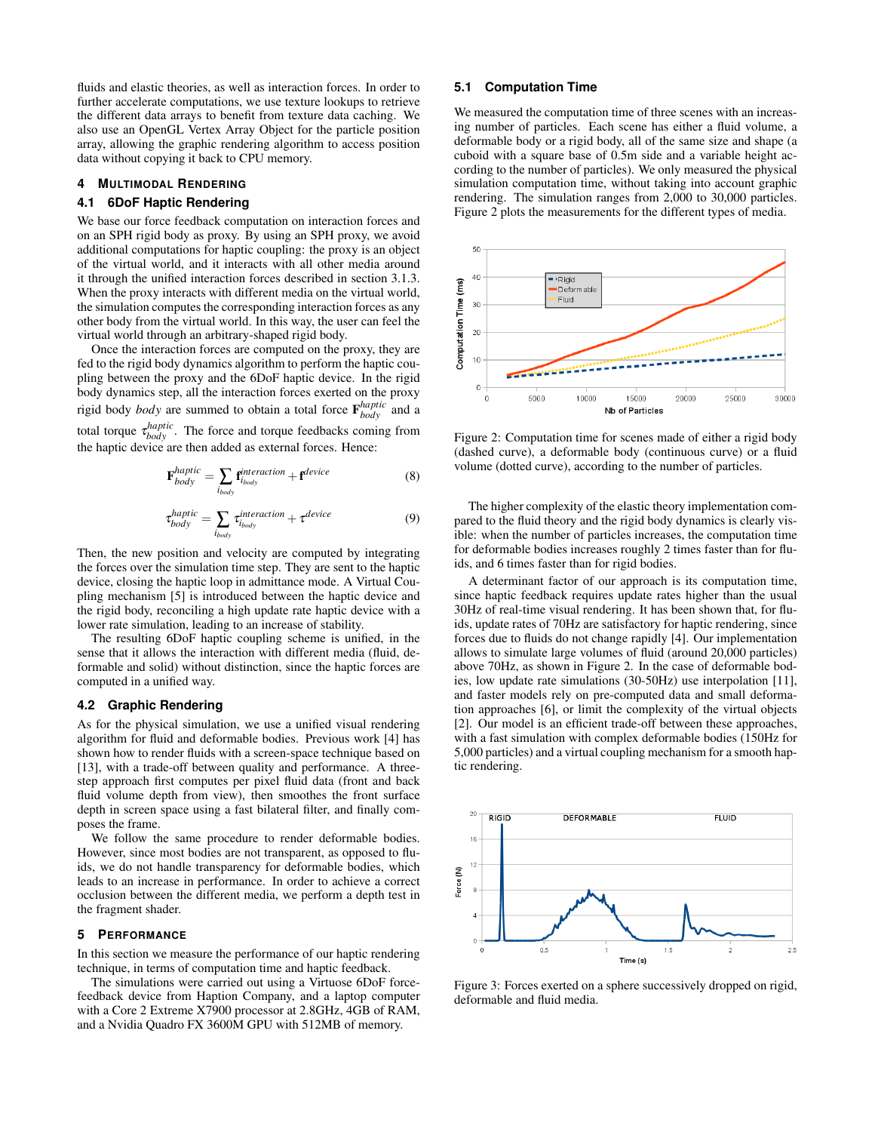fluids and elastic theories, as well as interaction forces. In order to further accelerate computations, we use texture lookups to retrieve the different data arrays to benefit from texture data caching. We also use an OpenGL Vertex Array Object for the particle position array, allowing the graphic rendering algorithm to access position data without copying it back to CPU memory.

#### **4 MULTIMODAL RENDERING**

#### **4.1 6DoF Haptic Rendering**

We base our force feedback computation on interaction forces and on an SPH rigid body as proxy. By using an SPH proxy, we avoid additional computations for haptic coupling: the proxy is an object of the virtual world, and it interacts with all other media around it through the unified interaction forces described in section 3.1.3. When the proxy interacts with different media on the virtual world, the simulation computes the corresponding interaction forces as any other body from the virtual world. In this way, the user can feel the virtual world through an arbitrary-shaped rigid body.

Once the interaction forces are computed on the proxy, they are fed to the rigid body dynamics algorithm to perform the haptic coupling between the proxy and the 6DoF haptic device. In the rigid body dynamics step, all the interaction forces exerted on the proxy rigid body *body* are summed to obtain a total force  $\mathbf{F}_{body}^{haptic}$  and a total torque  $\tau_{body}^{haptic}$ . The force and torque feedbacks coming from the haptic device are then added as external forces. Hence:

$$
\mathbf{F}_{body}^{haptic} = \sum_{i_{body}} \mathbf{f}_{i_{body}}^{interaction} + \mathbf{f}^{device}
$$
 (8)

$$
\tau_{body}^{haptic} = \sum_{i_{body}} \tau_{i_{body}}^{interaction} + \tau^{device}
$$
\n(9)

Then, the new position and velocity are computed by integrating the forces over the simulation time step. They are sent to the haptic device, closing the haptic loop in admittance mode. A Virtual Coupling mechanism [5] is introduced between the haptic device and the rigid body, reconciling a high update rate haptic device with a lower rate simulation, leading to an increase of stability.

The resulting 6DoF haptic coupling scheme is unified, in the sense that it allows the interaction with different media (fluid, deformable and solid) without distinction, since the haptic forces are computed in a unified way.

## **4.2 Graphic Rendering**

As for the physical simulation, we use a unified visual rendering algorithm for fluid and deformable bodies. Previous work [4] has shown how to render fluids with a screen-space technique based on [13], with a trade-off between quality and performance. A threestep approach first computes per pixel fluid data (front and back fluid volume depth from view), then smoothes the front surface depth in screen space using a fast bilateral filter, and finally composes the frame.

We follow the same procedure to render deformable bodies. However, since most bodies are not transparent, as opposed to fluids, we do not handle transparency for deformable bodies, which leads to an increase in performance. In order to achieve a correct occlusion between the different media, we perform a depth test in the fragment shader.

#### **5 PERFORMANCE**

In this section we measure the performance of our haptic rendering technique, in terms of computation time and haptic feedback.

The simulations were carried out using a Virtuose 6DoF forcefeedback device from Haption Company, and a laptop computer with a Core 2 Extreme X7900 processor at 2.8GHz, 4GB of RAM, and a Nvidia Quadro FX 3600M GPU with 512MB of memory.

## **5.1 Computation Time**

We measured the computation time of three scenes with an increasing number of particles. Each scene has either a fluid volume, a deformable body or a rigid body, all of the same size and shape (a cuboid with a square base of 0.5m side and a variable height according to the number of particles). We only measured the physical simulation computation time, without taking into account graphic rendering. The simulation ranges from 2,000 to 30,000 particles. Figure 2 plots the measurements for the different types of media.



Figure 2: Computation time for scenes made of either a rigid body (dashed curve), a deformable body (continuous curve) or a fluid volume (dotted curve), according to the number of particles.

The higher complexity of the elastic theory implementation compared to the fluid theory and the rigid body dynamics is clearly visible: when the number of particles increases, the computation time for deformable bodies increases roughly 2 times faster than for fluids, and 6 times faster than for rigid bodies.

A determinant factor of our approach is its computation time, since haptic feedback requires update rates higher than the usual 30Hz of real-time visual rendering. It has been shown that, for fluids, update rates of 70Hz are satisfactory for haptic rendering, since forces due to fluids do not change rapidly [4]. Our implementation allows to simulate large volumes of fluid (around 20,000 particles) above 70Hz, as shown in Figure 2. In the case of deformable bodies, low update rate simulations (30-50Hz) use interpolation [11], and faster models rely on pre-computed data and small deformation approaches [6], or limit the complexity of the virtual objects [2]. Our model is an efficient trade-off between these approaches, with a fast simulation with complex deformable bodies (150Hz for 5,000 particles) and a virtual coupling mechanism for a smooth haptic rendering.



Figure 3: Forces exerted on a sphere successively dropped on rigid, deformable and fluid media.